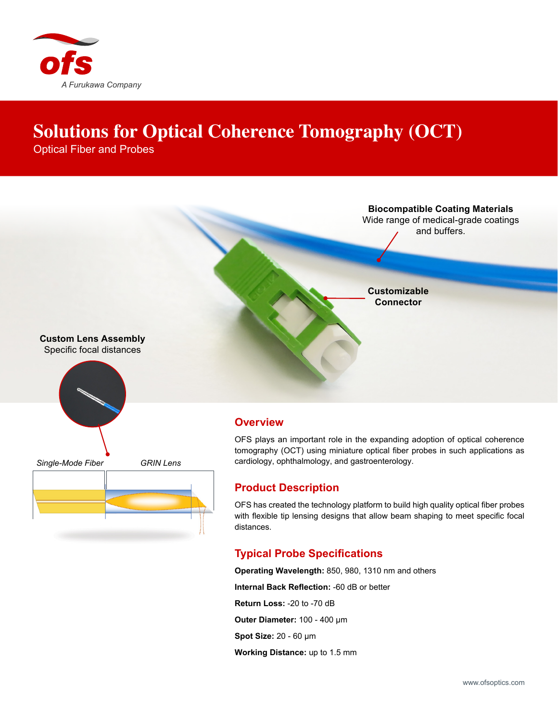

## **Solutions for Optical Coherence Tomography (OCT)**

Optical Fiber and Probes



## **Product Description**

OFS has created the technology platform to build high quality optical fiber probes with flexible tip lensing designs that allow beam shaping to meet specific focal distances.

## **Typical Probe Specifications**

**Operating Wavelength:** 850, 980, 1310 nm and others **Internal Back Reflection:** -60 dB or better **Return Loss:** -20 to -70 dB **Outer Diameter:** 100 - 400 µm **Spot Size:** 20 - 60 µm **Working Distance:** up to 1.5 mm